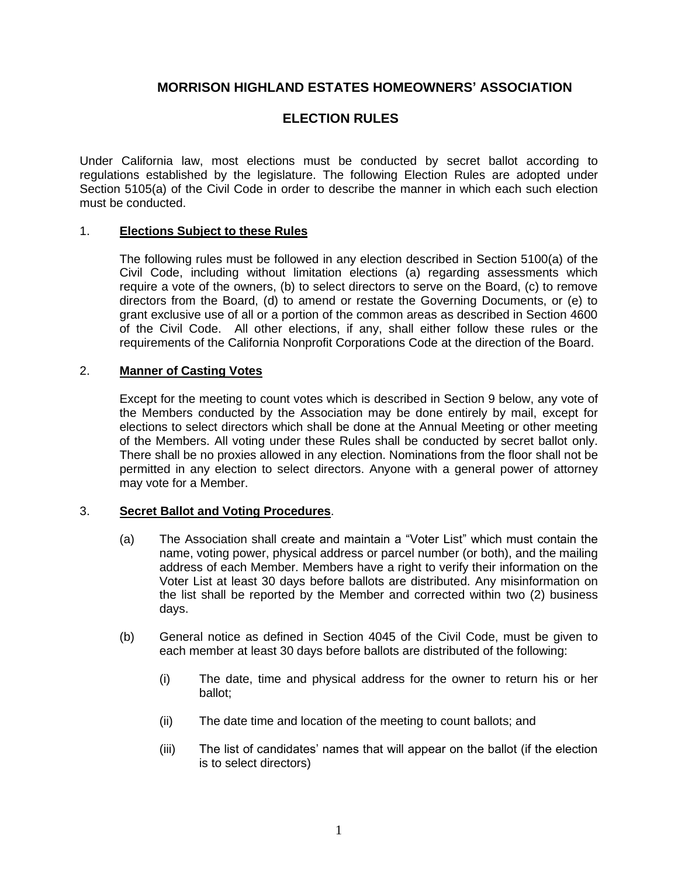## **MORRISON HIGHLAND ESTATES HOMEOWNERS' ASSOCIATION**

# **ELECTION RULES**

Under California law, most elections must be conducted by secret ballot according to regulations established by the legislature. The following Election Rules are adopted under Section 5105(a) of the Civil Code in order to describe the manner in which each such election must be conducted.

#### 1. **Elections Subject to these Rules**

The following rules must be followed in any election described in Section 5100(a) of the Civil Code, including without limitation elections (a) regarding assessments which require a vote of the owners, (b) to select directors to serve on the Board, (c) to remove directors from the Board, (d) to amend or restate the Governing Documents, or (e) to grant exclusive use of all or a portion of the common areas as described in Section 4600 of the Civil Code. All other elections, if any, shall either follow these rules or the requirements of the California Nonprofit Corporations Code at the direction of the Board.

#### 2. **Manner of Casting Votes**

Except for the meeting to count votes which is described in Section 9 below, any vote of the Members conducted by the Association may be done entirely by mail, except for elections to select directors which shall be done at the Annual Meeting or other meeting of the Members. All voting under these Rules shall be conducted by secret ballot only. There shall be no proxies allowed in any election. Nominations from the floor shall not be permitted in any election to select directors. Anyone with a general power of attorney may vote for a Member.

## 3. **Secret Ballot and Voting Procedures**.

- (a) The Association shall create and maintain a "Voter List" which must contain the name, voting power, physical address or parcel number (or both), and the mailing address of each Member. Members have a right to verify their information on the Voter List at least 30 days before ballots are distributed. Any misinformation on the list shall be reported by the Member and corrected within two (2) business days.
- (b) General notice as defined in Section 4045 of the Civil Code, must be given to each member at least 30 days before ballots are distributed of the following:
	- (i) The date, time and physical address for the owner to return his or her ballot;
	- (ii) The date time and location of the meeting to count ballots; and
	- (iii) The list of candidates' names that will appear on the ballot (if the election is to select directors)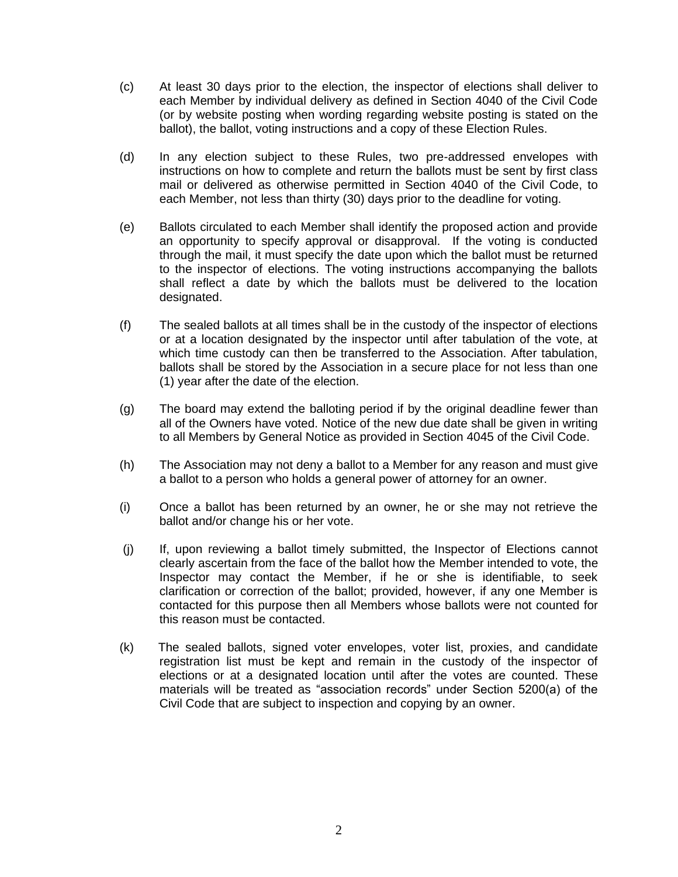- (c) At least 30 days prior to the election, the inspector of elections shall deliver to each Member by individual delivery as defined in Section 4040 of the Civil Code (or by website posting when wording regarding website posting is stated on the ballot), the ballot, voting instructions and a copy of these Election Rules.
- (d) In any election subject to these Rules, two pre-addressed envelopes with instructions on how to complete and return the ballots must be sent by first class mail or delivered as otherwise permitted in Section 4040 of the Civil Code, to each Member, not less than thirty (30) days prior to the deadline for voting.
- (e) Ballots circulated to each Member shall identify the proposed action and provide an opportunity to specify approval or disapproval. If the voting is conducted through the mail, it must specify the date upon which the ballot must be returned to the inspector of elections. The voting instructions accompanying the ballots shall reflect a date by which the ballots must be delivered to the location designated.
- (f) The sealed ballots at all times shall be in the custody of the inspector of elections or at a location designated by the inspector until after tabulation of the vote, at which time custody can then be transferred to the Association. After tabulation, ballots shall be stored by the Association in a secure place for not less than one (1) year after the date of the election.
- (g) The board may extend the balloting period if by the original deadline fewer than all of the Owners have voted. Notice of the new due date shall be given in writing to all Members by General Notice as provided in Section 4045 of the Civil Code.
- (h) The Association may not deny a ballot to a Member for any reason and must give a ballot to a person who holds a general power of attorney for an owner.
- (i) Once a ballot has been returned by an owner, he or she may not retrieve the ballot and/or change his or her vote.
- (j) If, upon reviewing a ballot timely submitted, the Inspector of Elections cannot clearly ascertain from the face of the ballot how the Member intended to vote, the Inspector may contact the Member, if he or she is identifiable, to seek clarification or correction of the ballot; provided, however, if any one Member is contacted for this purpose then all Members whose ballots were not counted for this reason must be contacted.
- (k) The sealed ballots, signed voter envelopes, voter list, proxies, and candidate registration list must be kept and remain in the custody of the inspector of elections or at a designated location until after the votes are counted. These materials will be treated as "association records" under Section 5200(a) of the Civil Code that are subject to inspection and copying by an owner.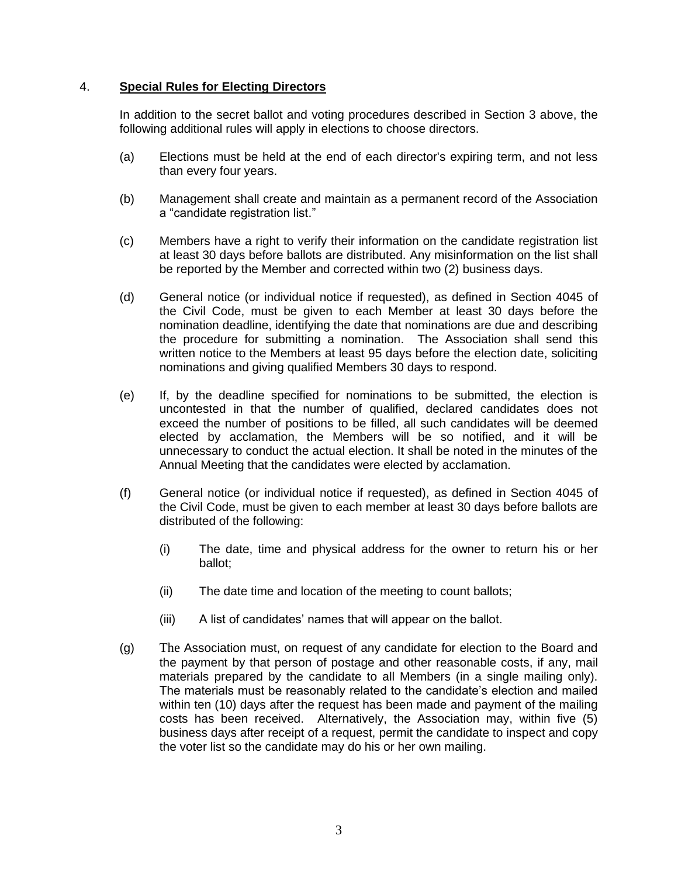#### 4. **Special Rules for Electing Directors**

In addition to the secret ballot and voting procedures described in Section 3 above, the following additional rules will apply in elections to choose directors.

- (a) Elections must be held at the end of each director's expiring term, and not less than every four years.
- (b) Management shall create and maintain as a permanent record of the Association a "candidate registration list."
- (c) Members have a right to verify their information on the candidate registration list at least 30 days before ballots are distributed. Any misinformation on the list shall be reported by the Member and corrected within two (2) business days.
- (d) General notice (or individual notice if requested), as defined in Section 4045 of the Civil Code, must be given to each Member at least 30 days before the nomination deadline, identifying the date that nominations are due and describing the procedure for submitting a nomination. The Association shall send this written notice to the Members at least 95 days before the election date, soliciting nominations and giving qualified Members 30 days to respond.
- (e) If, by the deadline specified for nominations to be submitted, the election is uncontested in that the number of qualified, declared candidates does not exceed the number of positions to be filled, all such candidates will be deemed elected by acclamation, the Members will be so notified, and it will be unnecessary to conduct the actual election. It shall be noted in the minutes of the Annual Meeting that the candidates were elected by acclamation.
- (f) General notice (or individual notice if requested), as defined in Section 4045 of the Civil Code, must be given to each member at least 30 days before ballots are distributed of the following:
	- (i) The date, time and physical address for the owner to return his or her ballot;
	- (ii) The date time and location of the meeting to count ballots;
	- (iii) A list of candidates' names that will appear on the ballot.
- (g) The Association must, on request of any candidate for election to the Board and the payment by that person of postage and other reasonable costs, if any, mail materials prepared by the candidate to all Members (in a single mailing only). The materials must be reasonably related to the candidate's election and mailed within ten (10) days after the request has been made and payment of the mailing costs has been received. Alternatively, the Association may, within five (5) business days after receipt of a request, permit the candidate to inspect and copy the voter list so the candidate may do his or her own mailing.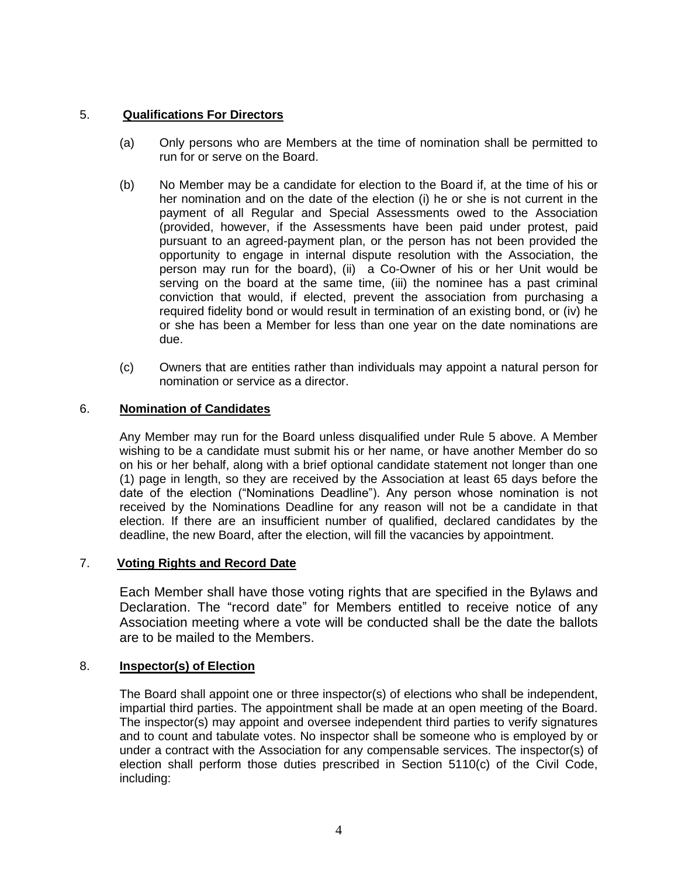## 5. **Qualifications For Directors**

- (a) Only persons who are Members at the time of nomination shall be permitted to run for or serve on the Board.
- (b) No Member may be a candidate for election to the Board if, at the time of his or her nomination and on the date of the election (i) he or she is not current in the payment of all Regular and Special Assessments owed to the Association (provided, however, if the Assessments have been paid under protest, paid pursuant to an agreed-payment plan, or the person has not been provided the opportunity to engage in internal dispute resolution with the Association, the person may run for the board), (ii) a Co-Owner of his or her Unit would be serving on the board at the same time, (iii) the nominee has a past criminal conviction that would, if elected, prevent the association from purchasing a required fidelity bond or would result in termination of an existing bond, or (iv) he or she has been a Member for less than one year on the date nominations are due.
- (c) Owners that are entities rather than individuals may appoint a natural person for nomination or service as a director.

## 6. **Nomination of Candidates**

Any Member may run for the Board unless disqualified under Rule 5 above. A Member wishing to be a candidate must submit his or her name, or have another Member do so on his or her behalf, along with a brief optional candidate statement not longer than one (1) page in length, so they are received by the Association at least 65 days before the date of the election ("Nominations Deadline"). Any person whose nomination is not received by the Nominations Deadline for any reason will not be a candidate in that election. If there are an insufficient number of qualified, declared candidates by the deadline, the new Board, after the election, will fill the vacancies by appointment.

## 7. **Voting Rights and Record Date**

Each Member shall have those voting rights that are specified in the Bylaws and Declaration. The "record date" for Members entitled to receive notice of any Association meeting where a vote will be conducted shall be the date the ballots are to be mailed to the Members.

## 8. **Inspector(s) of Election**

The Board shall appoint one or three inspector(s) of elections who shall be independent, impartial third parties. The appointment shall be made at an open meeting of the Board. The inspector(s) may appoint and oversee independent third parties to verify signatures and to count and tabulate votes. No inspector shall be someone who is employed by or under a contract with the Association for any compensable services. The inspector(s) of election shall perform those duties prescribed in Section 5110(c) of the Civil Code, including: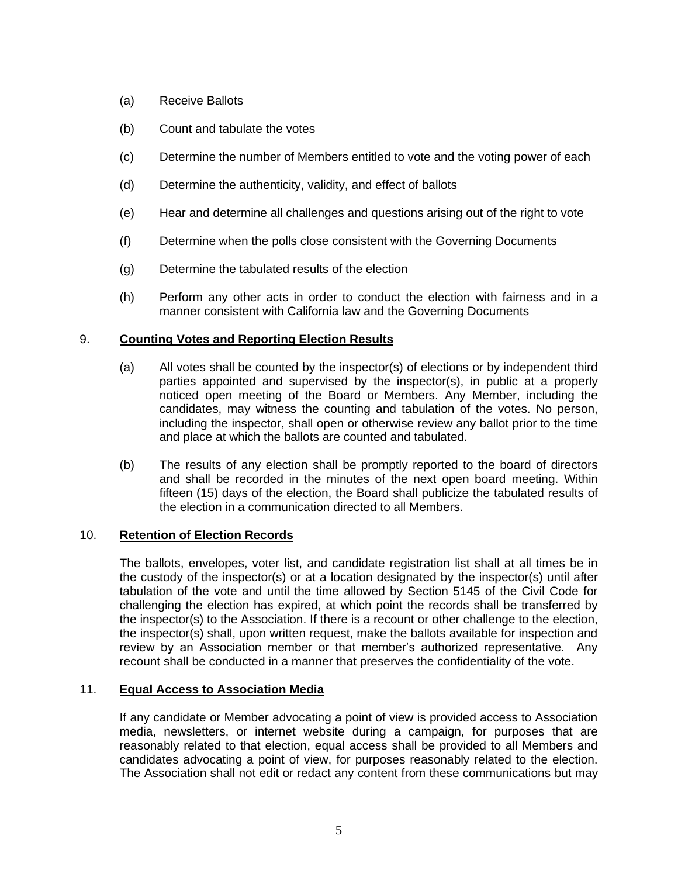- (a) Receive Ballots
- (b) Count and tabulate the votes
- (c) Determine the number of Members entitled to vote and the voting power of each
- (d) Determine the authenticity, validity, and effect of ballots
- (e) Hear and determine all challenges and questions arising out of the right to vote
- (f) Determine when the polls close consistent with the Governing Documents
- (g) Determine the tabulated results of the election
- (h) Perform any other acts in order to conduct the election with fairness and in a manner consistent with California law and the Governing Documents

## 9. **Counting Votes and Reporting Election Results**

- (a) All votes shall be counted by the inspector(s) of elections or by independent third parties appointed and supervised by the inspector(s), in public at a properly noticed open meeting of the Board or Members. Any Member, including the candidates, may witness the counting and tabulation of the votes. No person, including the inspector, shall open or otherwise review any ballot prior to the time and place at which the ballots are counted and tabulated.
- (b) The results of any election shall be promptly reported to the board of directors and shall be recorded in the minutes of the next open board meeting. Within fifteen (15) days of the election, the Board shall publicize the tabulated results of the election in a communication directed to all Members.

## 10. **Retention of Election Records**

The ballots, envelopes, voter list, and candidate registration list shall at all times be in the custody of the inspector(s) or at a location designated by the inspector(s) until after tabulation of the vote and until the time allowed by Section 5145 of the Civil Code for challenging the election has expired, at which point the records shall be transferred by the inspector(s) to the Association. If there is a recount or other challenge to the election, the inspector(s) shall, upon written request, make the ballots available for inspection and review by an Association member or that member's authorized representative. Any recount shall be conducted in a manner that preserves the confidentiality of the vote.

## 11. **Equal Access to Association Media**

If any candidate or Member advocating a point of view is provided access to Association media, newsletters, or internet website during a campaign, for purposes that are reasonably related to that election, equal access shall be provided to all Members and candidates advocating a point of view, for purposes reasonably related to the election. The Association shall not edit or redact any content from these communications but may